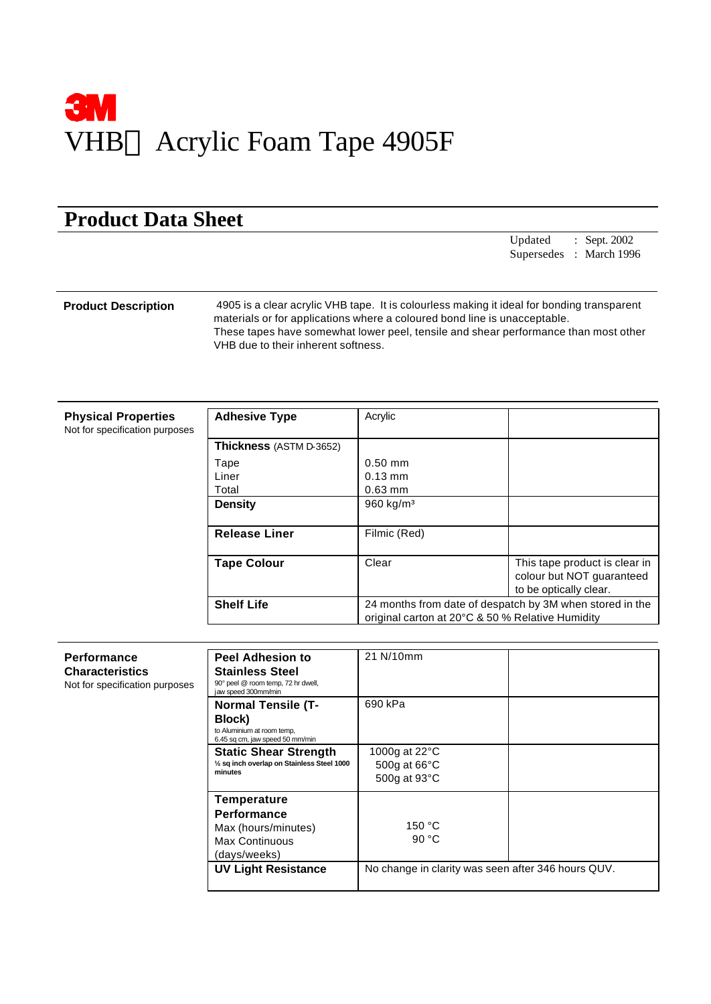

## **Product Data Sheet**

Updated : Sept. 2002 Supersedes : March 1996

**Product Description** 4905 is a clear acrylic VHB tape. It is colourless making it ideal for bonding transparent materials or for applications where a coloured bond line is unacceptable. These tapes have somewhat lower peel, tensile and shear performance than most other VHB due to their inherent softness.

| <b>Physical Properties</b><br>Not for specification purposes | <b>Adhesive Type</b>    | Acrylic           |                                                                                                              |  |
|--------------------------------------------------------------|-------------------------|-------------------|--------------------------------------------------------------------------------------------------------------|--|
|                                                              | Thickness (ASTM D-3652) |                   |                                                                                                              |  |
|                                                              | Tape                    | $0.50$ mm         |                                                                                                              |  |
|                                                              | Liner                   | $0.13 \text{ mm}$ |                                                                                                              |  |
|                                                              | Total                   | $0.63$ mm         |                                                                                                              |  |
|                                                              | <b>Density</b>          | 960 kg/ $m3$      |                                                                                                              |  |
|                                                              | <b>Release Liner</b>    | Filmic (Red)      |                                                                                                              |  |
|                                                              | <b>Tape Colour</b>      | Clear             | This tape product is clear in<br>colour but NOT guaranteed<br>to be optically clear.                         |  |
|                                                              | <b>Shelf Life</b>       |                   | 24 months from date of despatch by 3M when stored in the<br>original carton at 20°C & 50 % Relative Humidity |  |

| Performance                    | <b>Peel Adhesion to</b>                                                                | 21 N/10mm                                          |  |
|--------------------------------|----------------------------------------------------------------------------------------|----------------------------------------------------|--|
| <b>Characteristics</b>         | <b>Stainless Steel</b>                                                                 |                                                    |  |
| Not for specification purposes | 90° peel @ room temp, 72 hr dwell,<br>jaw speed 300mm/min                              |                                                    |  |
|                                | <b>Normal Tensile (T-</b>                                                              | 690 kPa                                            |  |
|                                | Block)<br>to Aluminium at room temp,<br>6.45 sq cm, jaw speed 50 mm/min                |                                                    |  |
|                                | <b>Static Shear Strength</b><br>1/2 sq inch overlap on Stainless Steel 1000<br>minutes | 1000g at 22°C<br>500g at 66°C<br>500g at 93°C      |  |
|                                | <b>Temperature</b>                                                                     |                                                    |  |
|                                | <b>Performance</b>                                                                     |                                                    |  |
|                                | Max (hours/minutes)                                                                    | 150 °C                                             |  |
|                                | Max Continuous                                                                         | 90 $°C$                                            |  |
|                                | (days/weeks)                                                                           |                                                    |  |
|                                | <b>UV Light Resistance</b>                                                             | No change in clarity was seen after 346 hours QUV. |  |